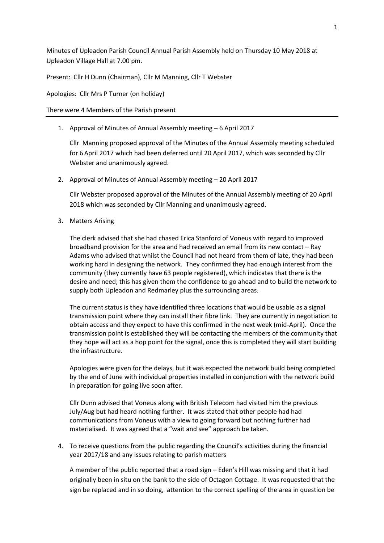Minutes of Upleadon Parish Council Annual Parish Assembly held on Thursday 10 May 2018 at Upleadon Village Hall at 7.00 pm.

Present: Cllr H Dunn (Chairman), Cllr M Manning, Cllr T Webster

Apologies: Cllr Mrs P Turner (on holiday)

There were 4 Members of the Parish present

1. Approval of Minutes of Annual Assembly meeting – 6 April 2017

Cllr Manning proposed approval of the Minutes of the Annual Assembly meeting scheduled for 6 April 2017 which had been deferred until 20 April 2017, which was seconded by Cllr Webster and unanimously agreed.

2. Approval of Minutes of Annual Assembly meeting – 20 April 2017

Cllr Webster proposed approval of the Minutes of the Annual Assembly meeting of 20 April 2018 which was seconded by Cllr Manning and unanimously agreed.

3. Matters Arising

The clerk advised that she had chased Erica Stanford of Voneus with regard to improved broadband provision for the area and had received an email from its new contact – Ray Adams who advised that whilst the Council had not heard from them of late, they had been working hard in designing the network. They confirmed they had enough interest from the community (they currently have 63 people registered), which indicates that there is the desire and need; this has given them the confidence to go ahead and to build the network to supply both Upleadon and Redmarley plus the surrounding areas.

The current status is they have identified three locations that would be usable as a signal transmission point where they can install their fibre link. They are currently in negotiation to obtain access and they expect to have this confirmed in the next week (mid-April). Once the transmission point is established they will be contacting the members of the community that they hope will act as a hop point for the signal, once this is completed they will start building the infrastructure.

Apologies were given for the delays, but it was expected the network build being completed by the end of June with individual properties installed in conjunction with the network build in preparation for going live soon after.

Cllr Dunn advised that Voneus along with British Telecom had visited him the previous July/Aug but had heard nothing further. It was stated that other people had had communications from Voneus with a view to going forward but nothing further had materialised. It was agreed that a "wait and see" approach be taken.

4. To receive questions from the public regarding the Council's activities during the financial year 2017/18 and any issues relating to parish matters

A member of the public reported that a road sign – Eden's Hill was missing and that it had originally been in situ on the bank to the side of Octagon Cottage. It was requested that the sign be replaced and in so doing, attention to the correct spelling of the area in question be